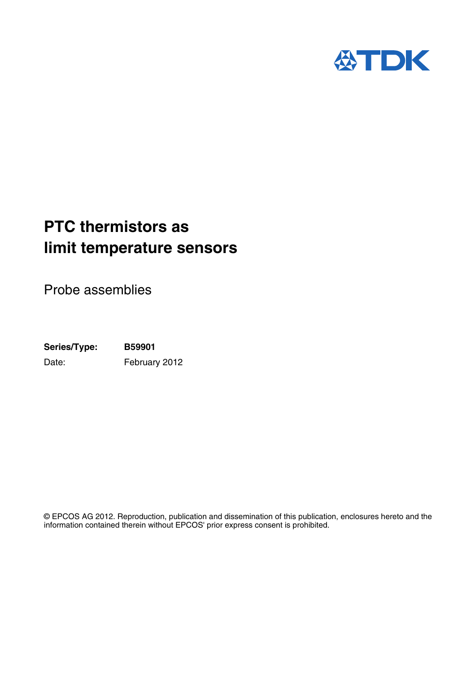

# **PTC thermistors as limit temperature sensors**

Probe assemblies

**Series/Type: B59901** Date: February 2012

© EPCOS AG 2012. Reproduction, publication and dissemination of this publication, enclosures hereto and the information contained therein without EPCOS' prior express consent is prohibited.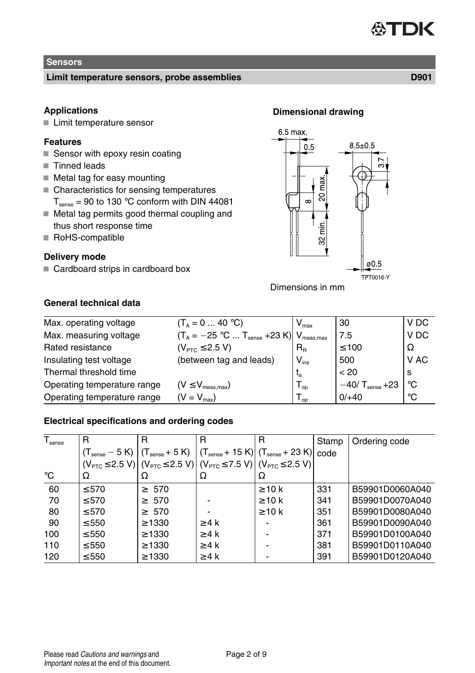### **AST** DK

### **Sensors**

### **Limit temperature sensors, probe assemblies D901**

### **Applications**

■ Limit temperature sensor

### **Features**

- $\blacksquare$  Sensor with epoxy resin coating
- Tinned leads
- $\blacksquare$  Metal tag for easy mounting
- Characteristics for sensing temperatures
	- $T_{\text{sense}} = 90$  to 130 °C conform with DIN 44081
- Metal tag permits good thermal coupling and thus short response time
- RoHS-compatible

### **Delivery mode**

Cardboard strips in cardboard box

# 6.5 max  $8.5 \pm 0.5$  $0.5$

max Š  $\sim$ 

> min. လ္က

> > ø0 5 **TPT0016-Y**



### **General technical data**

| Max. operating voltage      | $(T_A = 0  40 °C)$                                               | $V_{\text{max}}$           | 30                            | V DC            |
|-----------------------------|------------------------------------------------------------------|----------------------------|-------------------------------|-----------------|
| Max. measuring voltage      | $(T_A = -25$ °C $T_{\text{sense}} + 23$ K) $V_{\text{meas,max}}$ |                            | 7.5                           | V <sub>DC</sub> |
| Rated resistance            | $(V_{\text{PTC}} \leq 2.5 V)$                                    | $R_{\rm R}$                | $\leq 100$                    | Ω               |
| Insulating test voltage     | (between tag and leads)                                          | $V_{ins}$                  | 500                           | V AC            |
| Thermal threshold time      |                                                                  | $t_{a}$                    | < 20                          | S               |
| Operating temperature range | $(V \leq V_{\text{meas},\text{max}})$                            | $\mathsf{I}_{\mathsf{OD}}$ | $-40/$ T <sub>sense</sub> +23 | ∣∘∩             |
| Operating temperature range | $(V = V_{max})$                                                  | l op                       | $0/+40$                       | °C              |

### **Electrical specifications and ordering codes**

| $\overline{T_{\text{sense}}}$ | R          |                                                                                                                                                     | R          | R           | Stamp | Ordering code   |
|-------------------------------|------------|-----------------------------------------------------------------------------------------------------------------------------------------------------|------------|-------------|-------|-----------------|
|                               |            | $(T_{\text{sense}} - 5 \text{ K})$ $(T_{\text{sense}} + 5 \text{ K})$ $(T_{\text{sense}} + 15 \text{ K})$ $(T_{\text{sense}} + 23 \text{ K})$ code  |            |             |       |                 |
|                               |            | $(V_{\text{PTC}} \le 2.5 \text{ V})$ $(V_{\text{PTC}} \le 2.5 \text{ V})$ $(V_{\text{PTC}} \le 7.5 \text{ V})$ $(V_{\text{PTC}} \le 2.5 \text{ V})$ |            |             |       |                 |
| $^{\circ}C$                   | Ω          | Ω                                                                                                                                                   | Ω          | Ω           |       |                 |
| 60                            | $\leq 570$ | $\geq 570$                                                                                                                                          |            | $\geq 10$ k | 331   | B59901D0060A040 |
| 70                            | $\leq 570$ | $\geq 570$                                                                                                                                          |            | $\geq 10$ k | 341   | B59901D0070A040 |
| 80                            | $\leq 570$ | $\geq 570$                                                                                                                                          |            | $\geq 10$ k | 351   | B59901D0080A040 |
| 90                            | $\leq 550$ | $\geq 1330$                                                                                                                                         | $\geq 4$ k |             | 361   | B59901D0090A040 |
| 100                           | $\leq 550$ | $\geq 1330$                                                                                                                                         | $\geq 4$ k |             | 371   | B59901D0100A040 |
| 110                           | $\leq 550$ | $\geq 1330$                                                                                                                                         | $\geq 4$ k |             | 381   | B59901D0110A040 |
| 120                           | $\leq 550$ | $\geq 1330$                                                                                                                                         | $\geq 4$ k |             | 391   | B59901D0120A040 |

## **Dimensional drawing**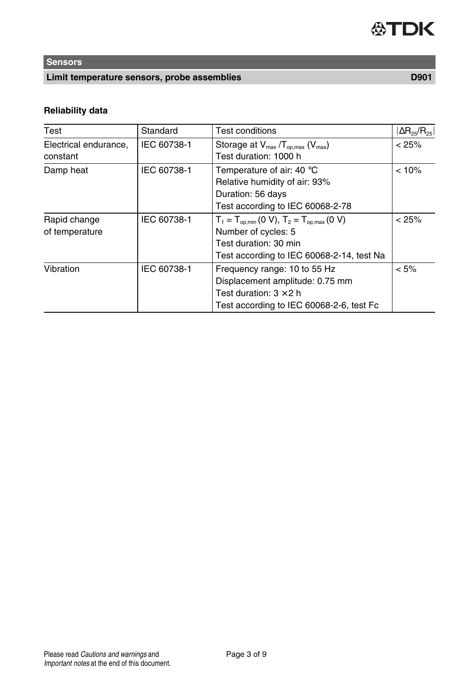## **Sensors**

### **Limit temperature sensors, probe assemblies D901**

## **Reliability data**

| Test                  | Standard    | <b>Test conditions</b>                           | $ \Delta R_{25}/R_{25} $ |
|-----------------------|-------------|--------------------------------------------------|--------------------------|
| Electrical endurance, | IEC 60738-1 | Storage at $V_{max}/T_{op,max}$ ( $V_{max}$ )    | < 25%                    |
| constant              |             | Test duration: 1000 h                            |                          |
| Damp heat             | IEC 60738-1 | Temperature of air: 40 $\degree$ C               | < 10%                    |
|                       |             | Relative humidity of air: 93%                    |                          |
|                       |             | Duration: 56 days                                |                          |
|                       |             | Test according to IEC 60068-2-78                 |                          |
| Rapid change          | IEC 60738-1 | $T_1 = T_{op,min} (0 V), T_2 = T_{op,max} (0 V)$ | < 25%                    |
| of temperature        |             | Number of cycles: 5                              |                          |
|                       |             | Test duration: 30 min                            |                          |
|                       |             | Test according to IEC 60068-2-14, test Na        |                          |
| Vibration             | IEC 60738-1 | Frequency range: 10 to 55 Hz                     | $< 5\%$                  |
|                       |             | Displacement amplitude: 0.75 mm                  |                          |
|                       |             | Test duration: $3 \times 2$ h                    |                          |
|                       |             | Test according to IEC 60068-2-6, test Fc         |                          |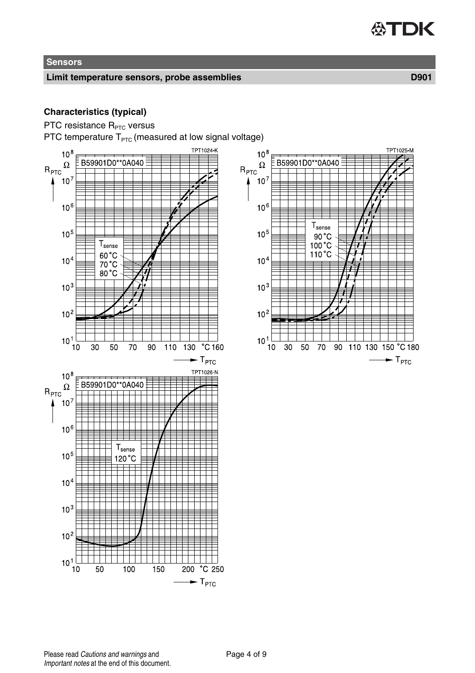## **Sensors**

### **Limit temperature sensors, probe assemblies D901**

### **Characteristics (typical)**

PTC resistance R<sub>PTC</sub> versus

PTC temperature  $T_{PTC}$  (measured at low signal voltage)

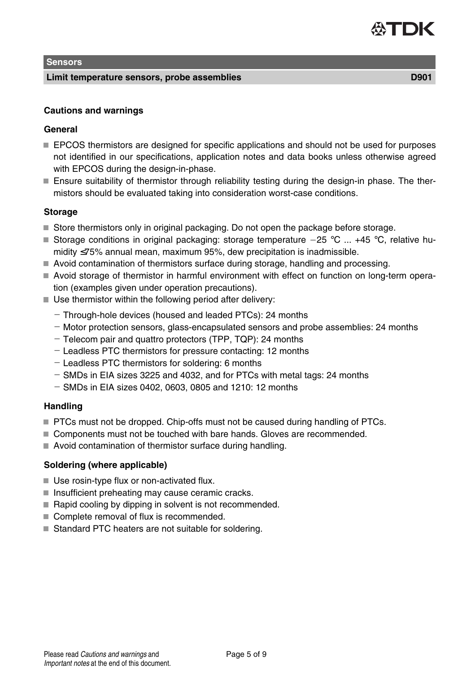### **Sensors**

### **Limit temperature sensors, probe assemblies D901**

### **Cautions and warnings**

### **General**

- **EPCOS** thermistors are designed for specific applications and should not be used for purposes not identified in our specifications, application notes and data books unless otherwise agreed with EPCOS during the design-in-phase.
- Ensure suitability of thermistor through reliability testing during the design-in phase. The thermistors should be evaluated taking into consideration worst-case conditions.

### **Storage**

- $\blacksquare$  Store thermistors only in original packaging. Do not open the package before storage.
- Storage conditions in original packaging: storage temperature  $-25$  °C ... +45 °C, relative humidity ≤75% annual mean, maximum 95%, dew precipitation is inadmissible.
- Avoid contamination of thermistors surface during storage, handling and processing.
- Avoid storage of thermistor in harmful environment with effect on function on long-term operation (examples given under operation precautions).
- $\blacksquare$  Use thermistor within the following period after delivery:
	- Through-hole devices (housed and leaded PTCs): 24 months
	- Motor protection sensors, glass-encapsulated sensors and probe assemblies: 24 months
	- Telecom pair and quattro protectors (TPP, TQP): 24 months
	- Leadless PTC thermistors for pressure contacting: 12 months
	- Leadless PTC thermistors for soldering: 6 months
	- $-$  SMDs in EIA sizes 3225 and 4032, and for PTCs with metal tags: 24 months
	- $-$  SMDs in EIA sizes 0402, 0603, 0805 and 1210: 12 months

### **Handling**

- **PTCs must not be dropped. Chip-offs must not be caused during handling of PTCs.**
- Components must not be touched with bare hands. Gloves are recommended.
- Avoid contamination of thermistor surface during handling.

### **Soldering (where applicable)**

- Use rosin-type flux or non-activated flux.
- $\blacksquare$  Insufficient preheating may cause ceramic cracks.
- Rapid cooling by dipping in solvent is not recommended.
- Complete removal of flux is recommended.
- Standard PTC heaters are not suitable for soldering.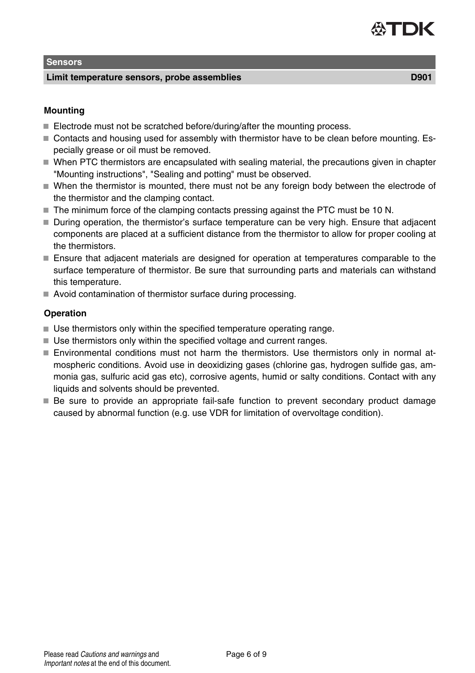### **Sensors**

### **Limit temperature sensors, probe assemblies D901**

## **Mounting**

- Electrode must not be scratched before/during/after the mounting process.
- Contacts and housing used for assembly with thermistor have to be clean before mounting. Especially grease or oil must be removed.
- $\blacksquare$  When PTC thermistors are encapsulated with sealing material, the precautions given in chapter "Mounting instructions", "Sealing and potting" must be observed.
- When the thermistor is mounted, there must not be any foreign body between the electrode of the thermistor and the clamping contact.
- The minimum force of the clamping contacts pressing against the PTC must be 10 N.
- During operation, the thermistor's surface temperature can be very high. Ensure that adjacent components are placed at a sufficient distance from the thermistor to allow for proper cooling at the thermistors.
- Ensure that adjacent materials are designed for operation at temperatures comparable to the surface temperature of thermistor. Be sure that surrounding parts and materials can withstand this temperature.
- Avoid contamination of thermistor surface during processing.

### **Operation**

- Use thermistors only within the specified temperature operating range.
- Use thermistors only within the specified voltage and current ranges.
- Environmental conditions must not harm the thermistors. Use thermistors only in normal atmospheric conditions. Avoid use in deoxidizing gases (chlorine gas, hydrogen sulfide gas, ammonia gas, sulfuric acid gas etc), corrosive agents, humid or salty conditions. Contact with any liquids and solvents should be prevented.
- Be sure to provide an appropriate fail-safe function to prevent secondary product damage caused by abnormal function (e.g. use VDR for limitation of overvoltage condition).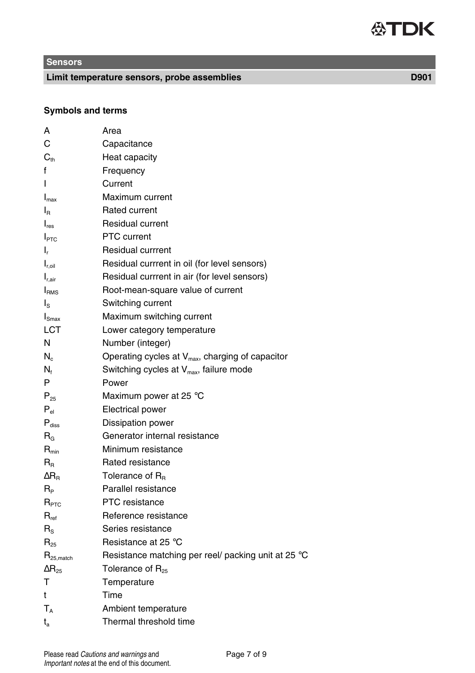# **Sensors**

**Limit temperature sensors, probe assemblies D901**

**Symbols and terms**

| А                                         | Area                                                         |
|-------------------------------------------|--------------------------------------------------------------|
| С                                         | Capacitance                                                  |
| $C_{\text{th}}$                           | Heat capacity                                                |
| f                                         | Frequency                                                    |
| ı                                         | Current                                                      |
| $I_{\text{max}}$                          | Maximum current                                              |
| $I_{\rm R}$                               | Rated current                                                |
| $\mathsf{I}_{\mathsf{res}}$               | <b>Residual current</b>                                      |
| I <sub>PTC</sub>                          | PTC current                                                  |
| ı,                                        | <b>Residual currrent</b>                                     |
| $I_{\rm roil}$                            | Residual currrent in oil (for level sensors)                 |
| $I_{r.air}$                               | Residual currrent in air (for level sensors)                 |
| I <sub>RMS</sub>                          | Root-mean-square value of current                            |
| $\mathsf{I}_\mathsf{S}$                   | Switching current                                            |
| $I_{\text{Smax}}$                         | Maximum switching current                                    |
| LCT                                       | Lower category temperature                                   |
| N                                         | Number (integer)                                             |
| $N_c$                                     | Operating cycles at V <sub>max</sub> , charging of capacitor |
| $N_{\rm f}$                               | Switching cycles at $V_{\text{max}}$ , failure mode          |
| P                                         | Power                                                        |
| $P_{25}$                                  | Maximum power at 25 °C                                       |
| $P_{el}$                                  | Electrical power                                             |
| $P_{\text{disc}}$                         | Dissipation power                                            |
| $R_{G}$                                   | Generator internal resistance                                |
| $R_{min}$                                 | Minimum resistance                                           |
| $R_{\scriptscriptstyle\rm R}$             | Rated resistance                                             |
| $\Delta$ R <sub>R</sub>                   | Tolerance of $R_B$                                           |
| $R_{\rm P}$                               | Parallel resistance                                          |
| $R_{\texttt{PTC}}$                        | PTC resistance                                               |
| $R_{ref}$                                 | Reference resistance                                         |
| $R_{\rm s}$                               | Series resistance                                            |
| $R_{25}$                                  | Resistance at 25 °C                                          |
| $\mathsf{R}_{\mathsf{25},\mathsf{match}}$ | Resistance matching per reel/ packing unit at 25 °C          |
| $\Delta$ R <sub>25</sub>                  | Tolerance of $R_{25}$                                        |
| т                                         | Temperature                                                  |
| t                                         | Time                                                         |
| $T_A$                                     | Ambient temperature                                          |
| ta                                        | Thermal threshold time                                       |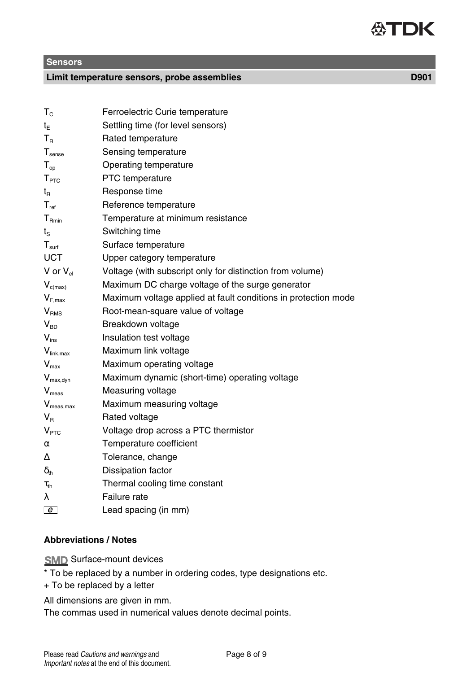**Sensors**

### **Limit temperature sensors, probe assemblies D901**

| $T_{c}$                                  | Ferroelectric Curie temperature                                |
|------------------------------------------|----------------------------------------------------------------|
| $t_{E}$                                  | Settling time (for level sensors)                              |
| $T_{\rm R}$                              | Rated temperature                                              |
| $T_{\text{sense}}$                       | Sensing temperature                                            |
| $T_{op}$                                 | Operating temperature                                          |
| T <sub>PTC</sub>                         | PTC temperature                                                |
| $t_{\text{\tiny R}}$                     | Response time                                                  |
| $T_{ref}$                                | Reference temperature                                          |
| $T_{Rmin}$                               | Temperature at minimum resistance                              |
| $t_{\rm s}$                              | Switching time                                                 |
| $T_{\sf surf}$                           | Surface temperature                                            |
| <b>UCT</b>                               | Upper category temperature                                     |
| V or $V_{el}$                            | Voltage (with subscript only for distinction from volume)      |
| $V_{c(max)}$                             | Maximum DC charge voltage of the surge generator               |
| $V_{F,max}$                              | Maximum voltage applied at fault conditions in protection mode |
| V <sub>RMS</sub>                         | Root-mean-square value of voltage                              |
| $V_{BD}$                                 | Breakdown voltage                                              |
| $V_{ins}$                                | Insulation test voltage                                        |
| $V_{link,max}$                           | Maximum link voltage                                           |
| $\mathsf{V}_{\mathsf{max}}$              | Maximum operating voltage                                      |
| $V_{max, dyn}$                           | Maximum dynamic (short-time) operating voltage                 |
| $V_{meas}$                               | Measuring voltage                                              |
| $V_{meas,max}$                           | Maximum measuring voltage                                      |
| $V_{\rm R}$                              | Rated voltage                                                  |
| V <sub>PTC</sub>                         | Voltage drop across a PTC thermistor                           |
| $\alpha$                                 | Temperature coefficient                                        |
| Δ                                        | Tolerance, change                                              |
| $\delta_{\scriptscriptstyle{\text{th}}}$ | Dissipation factor                                             |
| $\tau_{\text{th}}$                       | Thermal cooling time constant                                  |
| λ                                        | Failure rate                                                   |
| $\overline{e}$                           | Lead spacing (in mm)                                           |

### **Abbreviations / Notes**

**SMD** Surface-mount devices

\* To be replaced by a number in ordering codes, type designations etc.

+ To be replaced by a letter

All dimensions are given in mm.

The commas used in numerical values denote decimal points.